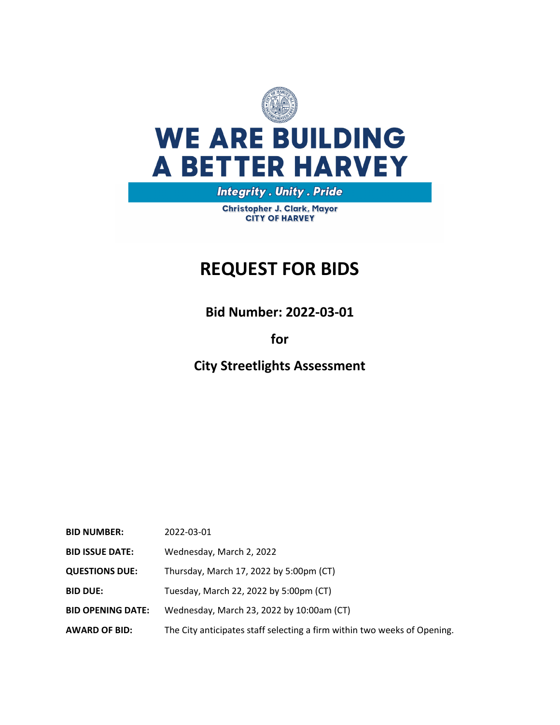

# **WE ARE BUILDING A BETTER HARVEY**

**Integrity . Unity . Pride** 

Christopher J. Clark, Mayor **CITY OF HARVEY** 

# **REQUEST FOR BIDS**

**Bid Number: 2022‐03‐01**

## **for**

**City Streetlights Assessment**

| <b>BID NUMBER:</b>       | 2022-03-01                                                               |
|--------------------------|--------------------------------------------------------------------------|
| <b>BID ISSUE DATE:</b>   | Wednesday, March 2, 2022                                                 |
| <b>QUESTIONS DUE:</b>    | Thursday, March 17, 2022 by 5:00pm (CT)                                  |
| <b>BID DUE:</b>          | Tuesday, March 22, 2022 by 5:00pm (CT)                                   |
| <b>BID OPENING DATE:</b> | Wednesday, March 23, 2022 by 10:00am (CT)                                |
| <b>AWARD OF BID:</b>     | The City anticipates staff selecting a firm within two weeks of Opening. |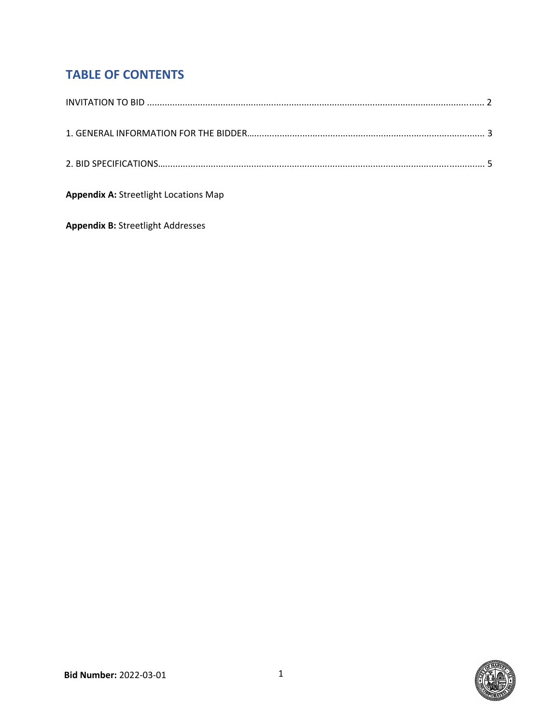# **TABLE OF CONTENTS**

| <b>Appendix A: Streetlight Locations Map</b> |
|----------------------------------------------|

**Appendix B:** Streetlight Addresses

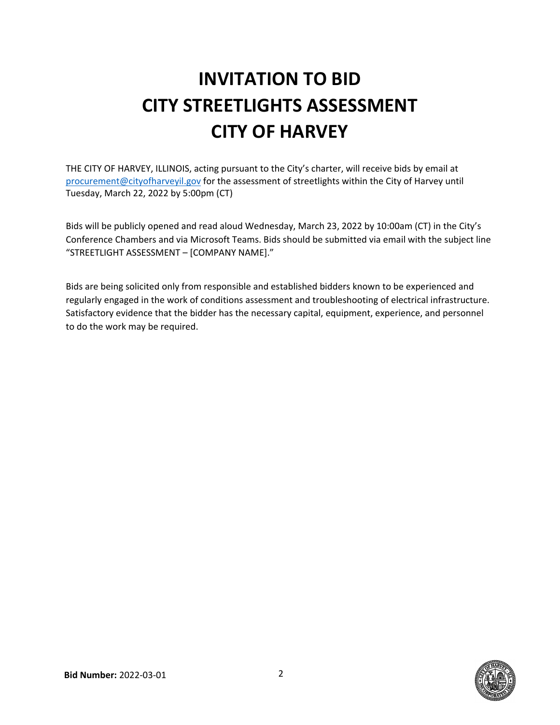# **INVITATION TO BID CITY STREETLIGHTS ASSESSMENT CITY OF HARVEY**

THE CITY OF HARVEY, ILLINOIS, acting pursuant to the City's charter, will receive bids by email at procurement@cityofharveyil.gov for the assessment of streetlights within the City of Harvey until Tuesday, March 22, 2022 by 5:00pm (CT)

Bids will be publicly opened and read aloud Wednesday, March 23, 2022 by 10:00am (CT) in the City's Conference Chambers and via Microsoft Teams. Bids should be submitted via email with the subject line "STREETLIGHT ASSESSMENT – [COMPANY NAME]."

Bids are being solicited only from responsible and established bidders known to be experienced and regularly engaged in the work of conditions assessment and troubleshooting of electrical infrastructure. Satisfactory evidence that the bidder has the necessary capital, equipment, experience, and personnel to do the work may be required.

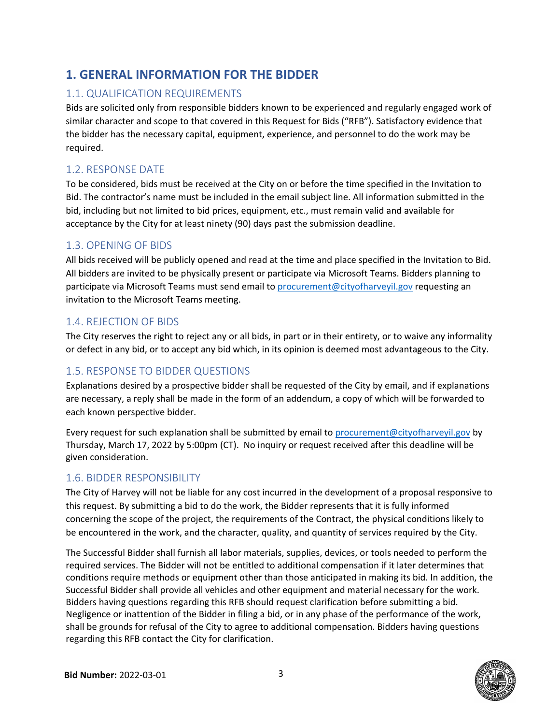## **1. GENERAL INFORMATION FOR THE BIDDER**

#### 1.1. QUALIFICATION REQUIREMENTS

Bids are solicited only from responsible bidders known to be experienced and regularly engaged work of similar character and scope to that covered in this Request for Bids ("RFB"). Satisfactory evidence that the bidder has the necessary capital, equipment, experience, and personnel to do the work may be required.

#### 1.2. RESPONSE DATE

To be considered, bids must be received at the City on or before the time specified in the Invitation to Bid. The contractor's name must be included in the email subject line. All information submitted in the bid, including but not limited to bid prices, equipment, etc., must remain valid and available for acceptance by the City for at least ninety (90) days past the submission deadline.

#### 1.3. OPENING OF BIDS

All bids received will be publicly opened and read at the time and place specified in the Invitation to Bid. All bidders are invited to be physically present or participate via Microsoft Teams. Bidders planning to participate via Microsoft Teams must send email to procurement@cityofharveyil.gov requesting an invitation to the Microsoft Teams meeting.

#### 1.4. REJECTION OF BIDS

The City reserves the right to reject any or all bids, in part or in their entirety, or to waive any informality or defect in any bid, or to accept any bid which, in its opinion is deemed most advantageous to the City.

#### 1.5. RESPONSE TO BIDDER QUESTIONS

Explanations desired by a prospective bidder shall be requested of the City by email, and if explanations are necessary, a reply shall be made in the form of an addendum, a copy of which will be forwarded to each known perspective bidder.

Every request for such explanation shall be submitted by email to procurement@cityofharveyil.gov by Thursday, March 17, 2022 by 5:00pm (CT). No inquiry or request received after this deadline will be given consideration.

#### 1.6. BIDDER RESPONSIBILITY

The City of Harvey will not be liable for any cost incurred in the development of a proposal responsive to this request. By submitting a bid to do the work, the Bidder represents that it is fully informed concerning the scope of the project, the requirements of the Contract, the physical conditions likely to be encountered in the work, and the character, quality, and quantity of services required by the City.

The Successful Bidder shall furnish all labor materials, supplies, devices, or tools needed to perform the required services. The Bidder will not be entitled to additional compensation if it later determines that conditions require methods or equipment other than those anticipated in making its bid. In addition, the Successful Bidder shall provide all vehicles and other equipment and material necessary for the work. Bidders having questions regarding this RFB should request clarification before submitting a bid. Negligence or inattention of the Bidder in filing a bid, or in any phase of the performance of the work, shall be grounds for refusal of the City to agree to additional compensation. Bidders having questions regarding this RFB contact the City for clarification.

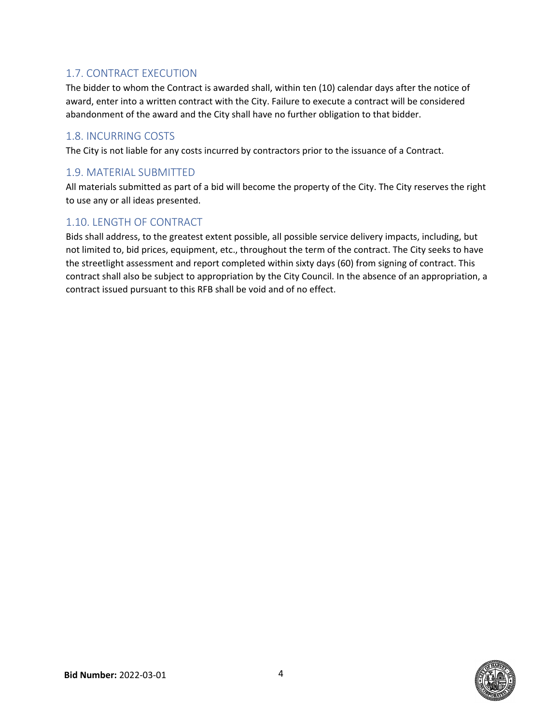#### 1.7. CONTRACT EXECUTION

The bidder to whom the Contract is awarded shall, within ten (10) calendar days after the notice of award, enter into a written contract with the City. Failure to execute a contract will be considered abandonment of the award and the City shall have no further obligation to that bidder.

#### 1.8. INCURRING COSTS

The City is not liable for any costs incurred by contractors prior to the issuance of a Contract.

#### 1.9. MATERIAL SUBMITTED

All materials submitted as part of a bid will become the property of the City. The City reserves the right to use any or all ideas presented.

#### 1.10. LENGTH OF CONTRACT

Bids shall address, to the greatest extent possible, all possible service delivery impacts, including, but not limited to, bid prices, equipment, etc., throughout the term of the contract. The City seeks to have the streetlight assessment and report completed within sixty days (60) from signing of contract. This contract shall also be subject to appropriation by the City Council. In the absence of an appropriation, a contract issued pursuant to this RFB shall be void and of no effect.

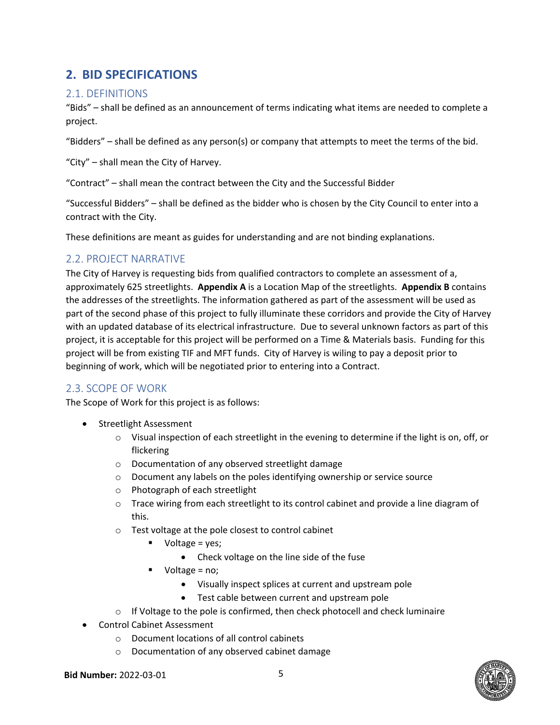### **2. BID SPECIFICATIONS**

#### 2.1. DEFINITIONS

"Bids" – shall be defined as an announcement of terms indicating what items are needed to complete a project.

"Bidders" – shall be defined as any person(s) or company that attempts to meet the terms of the bid.

"City" – shall mean the City of Harvey.

"Contract" – shall mean the contract between the City and the Successful Bidder

"Successful Bidders" – shall be defined as the bidder who is chosen by the City Council to enter into a contract with the City.

These definitions are meant as guides for understanding and are not binding explanations.

#### 2.2. PROJECT NARRATIVE

The City of Harvey is requesting bids from qualified contractors to complete an assessment of a, approximately 625 streetlights. **Appendix A** is a Location Map of the streetlights. **Appendix B** contains the addresses of the streetlights. The information gathered as part of the assessment will be used as part of the second phase of this project to fully illuminate these corridors and provide the City of Harvey with an updated database of its electrical infrastructure. Due to several unknown factors as part of this project, it is acceptable for this project will be performed on a Time & Materials basis. Funding for this project will be from existing TIF and MFT funds. City of Harvey is wiling to pay a deposit prior to beginning of work, which will be negotiated prior to entering into a Contract.

#### 2.3. SCOPE OF WORK

The Scope of Work for this project is as follows:

- Streetlight Assessment
	- $\circ$  Visual inspection of each streetlight in the evening to determine if the light is on, off, or flickering
	- o Documentation of any observed streetlight damage
	- o Document any labels on the poles identifying ownership or service source
	- o Photograph of each streetlight
	- o Trace wiring from each streetlight to its control cabinet and provide a line diagram of this.
	- o Test voltage at the pole closest to control cabinet
		- $\blacksquare$  Voltage = yes;
			- Check voltage on the line side of the fuse
		- Voltage = no;
			- Visually inspect splices at current and upstream pole
			- Test cable between current and upstream pole
	- $\circ$  If Voltage to the pole is confirmed, then check photocell and check luminaire
- Control Cabinet Assessment
	- o Document locations of all control cabinets
	- o Documentation of any observed cabinet damage



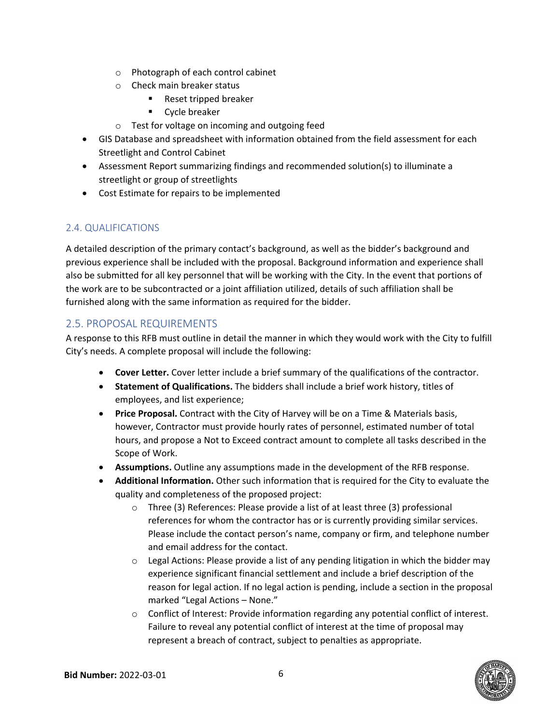- o Photograph of each control cabinet
- o Check main breaker status
	- Reset tripped breaker
	- **•** Cycle breaker
- o Test for voltage on incoming and outgoing feed
- GIS Database and spreadsheet with information obtained from the field assessment for each Streetlight and Control Cabinet
- Assessment Report summarizing findings and recommended solution(s) to illuminate a streetlight or group of streetlights
- Cost Estimate for repairs to be implemented

#### 2.4. QUALIFICATIONS

A detailed description of the primary contact's background, as well as the bidder's background and previous experience shall be included with the proposal. Background information and experience shall also be submitted for all key personnel that will be working with the City. In the event that portions of the work are to be subcontracted or a joint affiliation utilized, details of such affiliation shall be furnished along with the same information as required for the bidder.

#### 2.5. PROPOSAL REQUIREMENTS

A response to this RFB must outline in detail the manner in which they would work with the City to fulfill City's needs. A complete proposal will include the following:

- **Cover Letter.** Cover letter include a brief summary of the qualifications of the contractor.
- **Statement of Qualifications.** The bidders shall include a brief work history, titles of employees, and list experience;
- **Price Proposal.** Contract with the City of Harvey will be on a Time & Materials basis, however, Contractor must provide hourly rates of personnel, estimated number of total hours, and propose a Not to Exceed contract amount to complete all tasks described in the Scope of Work.
- **Assumptions.** Outline any assumptions made in the development of the RFB response.
- **Additional Information.** Other such information that is required for the City to evaluate the quality and completeness of the proposed project:
	- o Three (3) References: Please provide a list of at least three (3) professional references for whom the contractor has or is currently providing similar services. Please include the contact person's name, company or firm, and telephone number and email address for the contact.
	- $\circ$  Legal Actions: Please provide a list of any pending litigation in which the bidder may experience significant financial settlement and include a brief description of the reason for legal action. If no legal action is pending, include a section in the proposal marked "Legal Actions – None."
	- o Conflict of Interest: Provide information regarding any potential conflict of interest. Failure to reveal any potential conflict of interest at the time of proposal may represent a breach of contract, subject to penalties as appropriate.

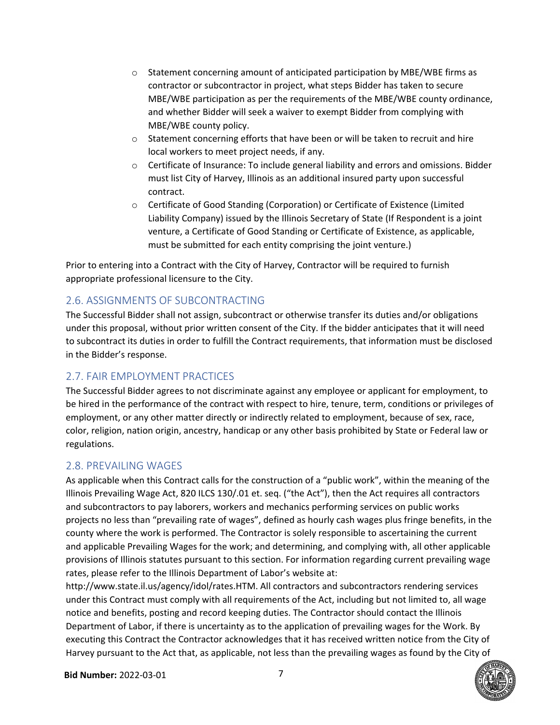- $\circ$  Statement concerning amount of anticipated participation by MBE/WBE firms as contractor or subcontractor in project, what steps Bidder has taken to secure MBE/WBE participation as per the requirements of the MBE/WBE county ordinance, and whether Bidder will seek a waiver to exempt Bidder from complying with MBE/WBE county policy.
- $\circ$  Statement concerning efforts that have been or will be taken to recruit and hire local workers to meet project needs, if any.
- o Certificate of Insurance: To include general liability and errors and omissions. Bidder must list City of Harvey, Illinois as an additional insured party upon successful contract.
- o Certificate of Good Standing (Corporation) or Certificate of Existence (Limited Liability Company) issued by the Illinois Secretary of State (If Respondent is a joint venture, a Certificate of Good Standing or Certificate of Existence, as applicable, must be submitted for each entity comprising the joint venture.)

Prior to entering into a Contract with the City of Harvey, Contractor will be required to furnish appropriate professional licensure to the City.

#### 2.6. ASSIGNMENTS OF SUBCONTRACTING

The Successful Bidder shall not assign, subcontract or otherwise transfer its duties and/or obligations under this proposal, without prior written consent of the City. If the bidder anticipates that it will need to subcontract its duties in order to fulfill the Contract requirements, that information must be disclosed in the Bidder's response.

#### 2.7. FAIR EMPLOYMENT PRACTICES

The Successful Bidder agrees to not discriminate against any employee or applicant for employment, to be hired in the performance of the contract with respect to hire, tenure, term, conditions or privileges of employment, or any other matter directly or indirectly related to employment, because of sex, race, color, religion, nation origin, ancestry, handicap or any other basis prohibited by State or Federal law or regulations.

#### 2.8. PREVAILING WAGES

As applicable when this Contract calls for the construction of a "public work", within the meaning of the Illinois Prevailing Wage Act, 820 ILCS 130/.01 et. seq. ("the Act"), then the Act requires all contractors and subcontractors to pay laborers, workers and mechanics performing services on public works projects no less than "prevailing rate of wages", defined as hourly cash wages plus fringe benefits, in the county where the work is performed. The Contractor is solely responsible to ascertaining the current and applicable Prevailing Wages for the work; and determining, and complying with, all other applicable provisions of Illinois statutes pursuant to this section. For information regarding current prevailing wage rates, please refer to the Illinois Department of Labor's website at:

http://www.state.il.us/agency/idol/rates.HTM. All contractors and subcontractors rendering services under this Contract must comply with all requirements of the Act, including but not limited to, all wage notice and benefits, posting and record keeping duties. The Contractor should contact the Illinois Department of Labor, if there is uncertainty as to the application of prevailing wages for the Work. By executing this Contract the Contractor acknowledges that it has received written notice from the City of Harvey pursuant to the Act that, as applicable, not less than the prevailing wages as found by the City of

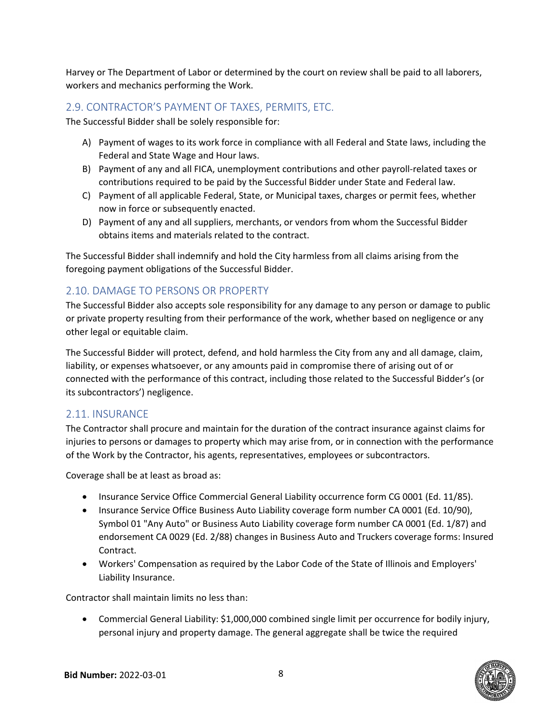Harvey or The Department of Labor or determined by the court on review shall be paid to all laborers, workers and mechanics performing the Work.

#### 2.9. CONTRACTOR'S PAYMENT OF TAXES, PERMITS, ETC.

The Successful Bidder shall be solely responsible for:

- A) Payment of wages to its work force in compliance with all Federal and State laws, including the Federal and State Wage and Hour laws.
- B) Payment of any and all FICA, unemployment contributions and other payroll‐related taxes or contributions required to be paid by the Successful Bidder under State and Federal law.
- C) Payment of all applicable Federal, State, or Municipal taxes, charges or permit fees, whether now in force or subsequently enacted.
- D) Payment of any and all suppliers, merchants, or vendors from whom the Successful Bidder obtains items and materials related to the contract.

The Successful Bidder shall indemnify and hold the City harmless from all claims arising from the foregoing payment obligations of the Successful Bidder.

#### 2.10. DAMAGE TO PERSONS OR PROPERTY

The Successful Bidder also accepts sole responsibility for any damage to any person or damage to public or private property resulting from their performance of the work, whether based on negligence or any other legal or equitable claim.

The Successful Bidder will protect, defend, and hold harmless the City from any and all damage, claim, liability, or expenses whatsoever, or any amounts paid in compromise there of arising out of or connected with the performance of this contract, including those related to the Successful Bidder's (or its subcontractors') negligence.

#### 2.11. INSURANCE

The Contractor shall procure and maintain for the duration of the contract insurance against claims for injuries to persons or damages to property which may arise from, or in connection with the performance of the Work by the Contractor, his agents, representatives, employees or subcontractors.

Coverage shall be at least as broad as:

- Insurance Service Office Commercial General Liability occurrence form CG 0001 (Ed. 11/85).
- Insurance Service Office Business Auto Liability coverage form number CA 0001 (Ed. 10/90), Symbol 01 "Any Auto" or Business Auto Liability coverage form number CA 0001 (Ed. 1/87) and endorsement CA 0029 (Ed. 2/88) changes in Business Auto and Truckers coverage forms: Insured Contract.
- Workers' Compensation as required by the Labor Code of the State of Illinois and Employers' Liability Insurance.

Contractor shall maintain limits no less than:

 Commercial General Liability: \$1,000,000 combined single limit per occurrence for bodily injury, personal injury and property damage. The general aggregate shall be twice the required

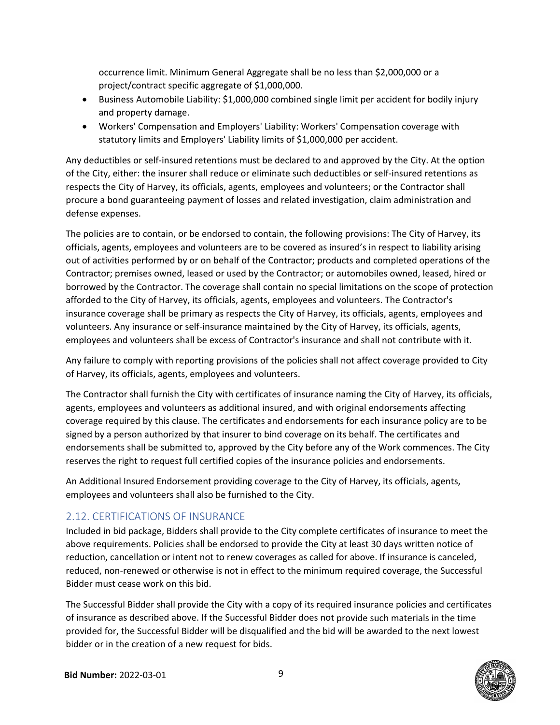occurrence limit. Minimum General Aggregate shall be no less than \$2,000,000 or a project/contract specific aggregate of \$1,000,000.

- Business Automobile Liability: \$1,000,000 combined single limit per accident for bodily injury and property damage.
- Workers' Compensation and Employers' Liability: Workers' Compensation coverage with statutory limits and Employers' Liability limits of \$1,000,000 per accident.

Any deductibles or self‐insured retentions must be declared to and approved by the City. At the option of the City, either: the insurer shall reduce or eliminate such deductibles or self‐insured retentions as respects the City of Harvey, its officials, agents, employees and volunteers; or the Contractor shall procure a bond guaranteeing payment of losses and related investigation, claim administration and defense expenses.

The policies are to contain, or be endorsed to contain, the following provisions: The City of Harvey, its officials, agents, employees and volunteers are to be covered as insured's in respect to liability arising out of activities performed by or on behalf of the Contractor; products and completed operations of the Contractor; premises owned, leased or used by the Contractor; or automobiles owned, leased, hired or borrowed by the Contractor. The coverage shall contain no special limitations on the scope of protection afforded to the City of Harvey, its officials, agents, employees and volunteers. The Contractor's insurance coverage shall be primary as respects the City of Harvey, its officials, agents, employees and volunteers. Any insurance or self‐insurance maintained by the City of Harvey, its officials, agents, employees and volunteers shall be excess of Contractor's insurance and shall not contribute with it.

Any failure to comply with reporting provisions of the policies shall not affect coverage provided to City of Harvey, its officials, agents, employees and volunteers.

The Contractor shall furnish the City with certificates of insurance naming the City of Harvey, its officials, agents, employees and volunteers as additional insured, and with original endorsements affecting coverage required by this clause. The certificates and endorsements for each insurance policy are to be signed by a person authorized by that insurer to bind coverage on its behalf. The certificates and endorsements shall be submitted to, approved by the City before any of the Work commences. The City reserves the right to request full certified copies of the insurance policies and endorsements.

An Additional Insured Endorsement providing coverage to the City of Harvey, its officials, agents, employees and volunteers shall also be furnished to the City.

#### 2.12. CERTIFICATIONS OF INSURANCE

Included in bid package, Bidders shall provide to the City complete certificates of insurance to meet the above requirements. Policies shall be endorsed to provide the City at least 30 days written notice of reduction, cancellation or intent not to renew coverages as called for above. If insurance is canceled, reduced, non-renewed or otherwise is not in effect to the minimum required coverage, the Successful Bidder must cease work on this bid.

The Successful Bidder shall provide the City with a copy of its required insurance policies and certificates of insurance as described above. If the Successful Bidder does not provide such materials in the time provided for, the Successful Bidder will be disqualified and the bid will be awarded to the next lowest bidder or in the creation of a new request for bids.

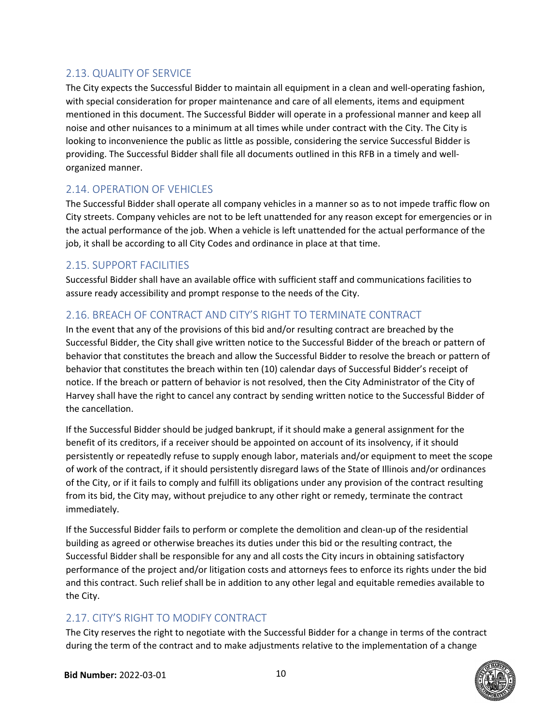#### 2.13. QUALITY OF SERVICE

The City expects the Successful Bidder to maintain all equipment in a clean and well‐operating fashion, with special consideration for proper maintenance and care of all elements, items and equipment mentioned in this document. The Successful Bidder will operate in a professional manner and keep all noise and other nuisances to a minimum at all times while under contract with the City. The City is looking to inconvenience the public as little as possible, considering the service Successful Bidder is providing. The Successful Bidder shall file all documents outlined in this RFB in a timely and well‐ organized manner.

#### 2.14. OPERATION OF VEHICLES

The Successful Bidder shall operate all company vehicles in a manner so as to not impede traffic flow on City streets. Company vehicles are not to be left unattended for any reason except for emergencies or in the actual performance of the job. When a vehicle is left unattended for the actual performance of the job, it shall be according to all City Codes and ordinance in place at that time.

#### 2.15. SUPPORT FACILITIES

Successful Bidder shall have an available office with sufficient staff and communications facilities to assure ready accessibility and prompt response to the needs of the City.

#### 2.16. BREACH OF CONTRACT AND CITY'S RIGHT TO TERMINATE CONTRACT

In the event that any of the provisions of this bid and/or resulting contract are breached by the Successful Bidder, the City shall give written notice to the Successful Bidder of the breach or pattern of behavior that constitutes the breach and allow the Successful Bidder to resolve the breach or pattern of behavior that constitutes the breach within ten (10) calendar days of Successful Bidder's receipt of notice. If the breach or pattern of behavior is not resolved, then the City Administrator of the City of Harvey shall have the right to cancel any contract by sending written notice to the Successful Bidder of the cancellation.

If the Successful Bidder should be judged bankrupt, if it should make a general assignment for the benefit of its creditors, if a receiver should be appointed on account of its insolvency, if it should persistently or repeatedly refuse to supply enough labor, materials and/or equipment to meet the scope of work of the contract, if it should persistently disregard laws of the State of Illinois and/or ordinances of the City, or if it fails to comply and fulfill its obligations under any provision of the contract resulting from its bid, the City may, without prejudice to any other right or remedy, terminate the contract immediately.

If the Successful Bidder fails to perform or complete the demolition and clean‐up of the residential building as agreed or otherwise breaches its duties under this bid or the resulting contract, the Successful Bidder shall be responsible for any and all costs the City incurs in obtaining satisfactory performance of the project and/or litigation costs and attorneys fees to enforce its rights under the bid and this contract. Such relief shall be in addition to any other legal and equitable remedies available to the City.

#### 2.17. CITY'S RIGHT TO MODIFY CONTRACT

The City reserves the right to negotiate with the Successful Bidder for a change in terms of the contract during the term of the contract and to make adjustments relative to the implementation of a change